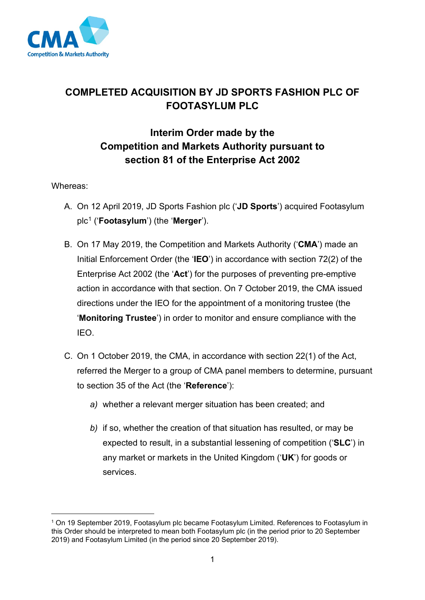

# **COMPLETED ACQUISITION BY JD SPORTS FASHION PLC OF FOOTASYLUM PLC**

# **Interim Order made by the Competition and Markets Authority pursuant to section 81 of the Enterprise Act 2002**

## Whereas:

- A. On 12 April 2019, JD Sports Fashion plc ('**JD Sports**') acquired Footasylum plc[1](#page-0-0) ('**Footasylum**') (the '**Merger**').
- B. On 17 May 2019, the Competition and Markets Authority ('**CMA**') made an Initial Enforcement Order (the '**IEO**') in accordance with section 72(2) of the Enterprise Act 2002 (the '**Act**') for the purposes of preventing pre-emptive action in accordance with that section. On 7 October 2019, the CMA issued directions under the IEO for the appointment of a monitoring trustee (the '**Monitoring Trustee**') in order to monitor and ensure compliance with the IEO.
- C. On 1 October 2019, the CMA, in accordance with section 22(1) of the Act, referred the Merger to a group of CMA panel members to determine, pursuant to section 35 of the Act (the '**Reference**'):
	- *a)* whether a relevant merger situation has been created; and
	- *b)* if so, whether the creation of that situation has resulted, or may be expected to result, in a substantial lessening of competition ('**SLC**') in any market or markets in the United Kingdom ('**UK**') for goods or services.

<span id="page-0-0"></span><sup>&</sup>lt;sup>1</sup> On 19 September 2019, Footasylum plc became Footasylum Limited. References to Footasylum in this Order should be interpreted to mean both Footasylum plc (in the period prior to 20 September 2019) and Footasylum Limited (in the period since 20 September 2019).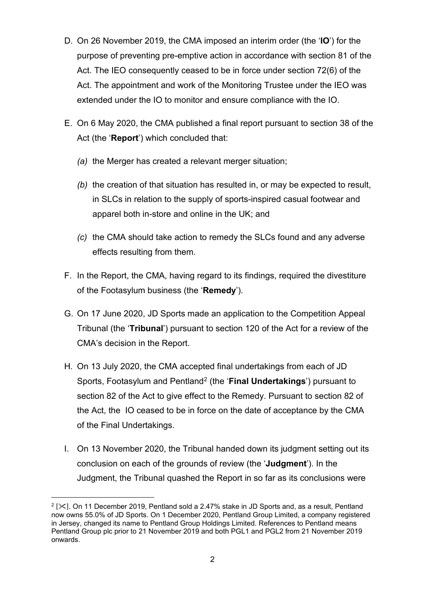- D. On 26 November 2019, the CMA imposed an interim order (the '**IO**') for the purpose of preventing pre-emptive action in accordance with section 81 of the Act. The IEO consequently ceased to be in force under section 72(6) of the Act. The appointment and work of the Monitoring Trustee under the IEO was extended under the IO to monitor and ensure compliance with the IO.
- E. On 6 May 2020, the CMA published a final report pursuant to section 38 of the Act (the '**Report**') which concluded that:
	- *(a)* the Merger has created a relevant merger situation;
	- *(b)* the creation of that situation has resulted in, or may be expected to result, in SLCs in relation to the supply of sports-inspired casual footwear and apparel both in-store and online in the UK; and
	- *(c)* the CMA should take action to remedy the SLCs found and any adverse effects resulting from them.
- F. In the Report, the CMA, having regard to its findings, required the divestiture of the Footasylum business (the '**Remedy**').
- G. On 17 June 2020, JD Sports made an application to the Competition Appeal Tribunal (the '**Tribunal**') pursuant to section 120 of the Act for a review of the CMA's decision in the Report.
- H. On 13 July 2020, the CMA accepted final undertakings from each of JD Sports, Footasylum and Pentland[2](#page-1-0) (the '**Final Undertakings**') pursuant to section 82 of the Act to give effect to the Remedy. Pursuant to section 82 of the Act, the IO ceased to be in force on the date of acceptance by the CMA of the Final Undertakings.
- I. On 13 November 2020, the Tribunal handed down its judgment setting out its conclusion on each of the grounds of review (the '**Judgment**'). In the Judgment, the Tribunal quashed the Report in so far as its conclusions were

<span id="page-1-0"></span> $2$  [ $\ge$ ]. On 11 December 2019, Pentland sold a 2.47% stake in JD Sports and, as a result, Pentland now owns 55.0% of JD Sports. On 1 December 2020, Pentland Group Limited, a company registered in Jersey, changed its name to Pentland Group Holdings Limited. References to Pentland means Pentland Group plc prior to 21 November 2019 and both PGL1 and PGL2 from 21 November 2019 onwards.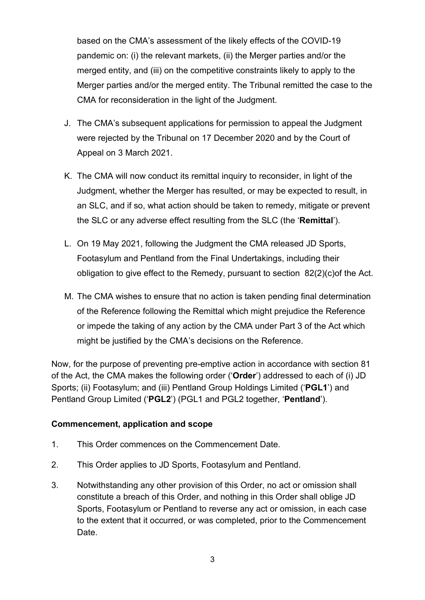based on the CMA's assessment of the likely effects of the COVID-19 pandemic on: (i) the relevant markets, (ii) the Merger parties and/or the merged entity, and (iii) on the competitive constraints likely to apply to the Merger parties and/or the merged entity. The Tribunal remitted the case to the CMA for reconsideration in the light of the Judgment.

- J. The CMA's subsequent applications for permission to appeal the Judgment were rejected by the Tribunal on 17 December 2020 and by the Court of Appeal on 3 March 2021.
- K. The CMA will now conduct its remittal inquiry to reconsider, in light of the Judgment, whether the Merger has resulted, or may be expected to result, in an SLC, and if so, what action should be taken to remedy, mitigate or prevent the SLC or any adverse effect resulting from the SLC (the '**Remittal**').
- L. On 19 May 2021, following the Judgment the CMA released JD Sports, Footasylum and Pentland from the Final Undertakings, including their obligation to give effect to the Remedy, pursuant to section 82(2)(c)of the Act.
- M. The CMA wishes to ensure that no action is taken pending final determination of the Reference following the Remittal which might prejudice the Reference or impede the taking of any action by the CMA under Part 3 of the Act which might be justified by the CMA's decisions on the Reference.

Now, for the purpose of preventing pre-emptive action in accordance with section 81 of the Act, the CMA makes the following order ('**Order**') addressed to each of (i) JD Sports; (ii) Footasylum; and (iii) Pentland Group Holdings Limited ('**PGL1**') and Pentland Group Limited ('**PGL2**') (PGL1 and PGL2 together, '**Pentland**').

### **Commencement, application and scope**

- 1. This Order commences on the Commencement Date.
- 2. This Order applies to JD Sports, Footasylum and Pentland.
- 3. Notwithstanding any other provision of this Order, no act or omission shall constitute a breach of this Order, and nothing in this Order shall oblige JD Sports, Footasylum or Pentland to reverse any act or omission, in each case to the extent that it occurred, or was completed, prior to the Commencement Date.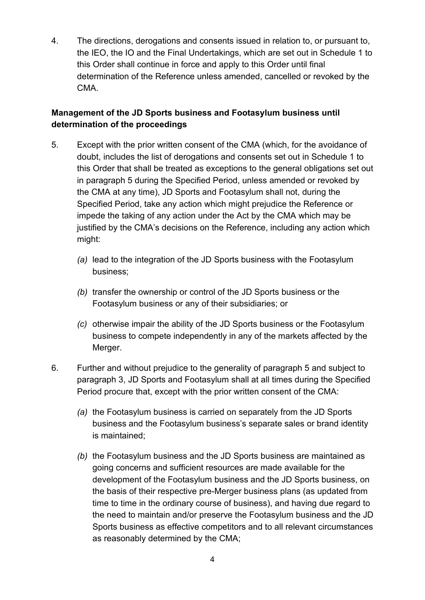4. The directions, derogations and consents issued in relation to, or pursuant to, the IEO, the IO and the Final Undertakings, which are set out in Schedule 1 to this Order shall continue in force and apply to this Order until final determination of the Reference unless amended, cancelled or revoked by the CMA.

## **Management of the JD Sports business and Footasylum business until determination of the proceedings**

- 5. Except with the prior written consent of the CMA (which, for the avoidance of doubt, includes the list of derogations and consents set out in Schedule 1 to this Order that shall be treated as exceptions to the general obligations set out in paragraph 5 during the Specified Period, unless amended or revoked by the CMA at any time), JD Sports and Footasylum shall not, during the Specified Period, take any action which might prejudice the Reference or impede the taking of any action under the Act by the CMA which may be justified by the CMA's decisions on the Reference, including any action which might:
	- *(a)* lead to the integration of the JD Sports business with the Footasylum business;
	- *(b)* transfer the ownership or control of the JD Sports business or the Footasylum business or any of their subsidiaries; or
	- *(c)* otherwise impair the ability of the JD Sports business or the Footasylum business to compete independently in any of the markets affected by the Merger.
- 6. Further and without prejudice to the generality of paragraph 5 and subject to paragraph 3, JD Sports and Footasylum shall at all times during the Specified Period procure that, except with the prior written consent of the CMA:
	- *(a)* the Footasylum business is carried on separately from the JD Sports business and the Footasylum business's separate sales or brand identity is maintained;
	- *(b)* the Footasylum business and the JD Sports business are maintained as going concerns and sufficient resources are made available for the development of the Footasylum business and the JD Sports business, on the basis of their respective pre-Merger business plans (as updated from time to time in the ordinary course of business), and having due regard to the need to maintain and/or preserve the Footasylum business and the JD Sports business as effective competitors and to all relevant circumstances as reasonably determined by the CMA;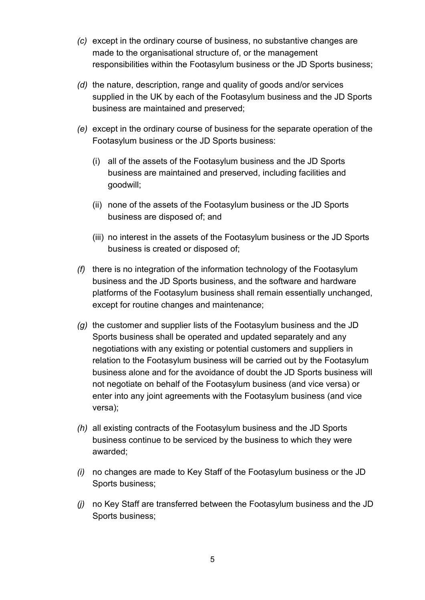- *(c)* except in the ordinary course of business, no substantive changes are made to the organisational structure of, or the management responsibilities within the Footasylum business or the JD Sports business;
- *(d)* the nature, description, range and quality of goods and/or services supplied in the UK by each of the Footasylum business and the JD Sports business are maintained and preserved;
- *(e)* except in the ordinary course of business for the separate operation of the Footasylum business or the JD Sports business:
	- (i) all of the assets of the Footasylum business and the JD Sports business are maintained and preserved, including facilities and goodwill;
	- (ii) none of the assets of the Footasylum business or the JD Sports business are disposed of; and
	- (iii) no interest in the assets of the Footasylum business or the JD Sports business is created or disposed of;
- *(f)* there is no integration of the information technology of the Footasylum business and the JD Sports business, and the software and hardware platforms of the Footasylum business shall remain essentially unchanged, except for routine changes and maintenance;
- *(g)* the customer and supplier lists of the Footasylum business and the JD Sports business shall be operated and updated separately and any negotiations with any existing or potential customers and suppliers in relation to the Footasylum business will be carried out by the Footasylum business alone and for the avoidance of doubt the JD Sports business will not negotiate on behalf of the Footasylum business (and vice versa) or enter into any joint agreements with the Footasylum business (and vice versa);
- *(h)* all existing contracts of the Footasylum business and the JD Sports business continue to be serviced by the business to which they were awarded;
- *(i)* no changes are made to Key Staff of the Footasylum business or the JD Sports business;
- *(j)* no Key Staff are transferred between the Footasylum business and the JD Sports business;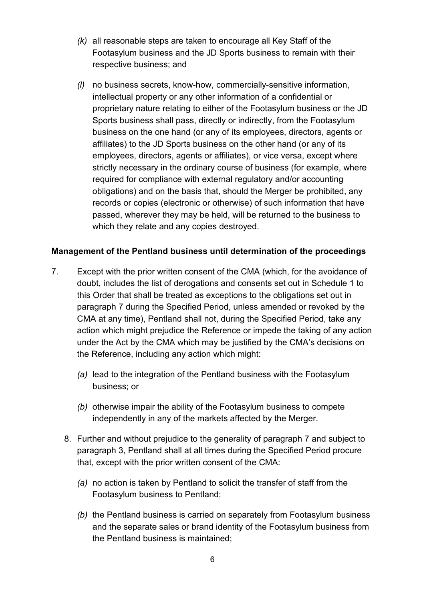- *(k)* all reasonable steps are taken to encourage all Key Staff of the Footasylum business and the JD Sports business to remain with their respective business; and
- *(l)* no business secrets, know-how, commercially-sensitive information, intellectual property or any other information of a confidential or proprietary nature relating to either of the Footasylum business or the JD Sports business shall pass, directly or indirectly, from the Footasylum business on the one hand (or any of its employees, directors, agents or affiliates) to the JD Sports business on the other hand (or any of its employees, directors, agents or affiliates), or vice versa, except where strictly necessary in the ordinary course of business (for example, where required for compliance with external regulatory and/or accounting obligations) and on the basis that, should the Merger be prohibited, any records or copies (electronic or otherwise) of such information that have passed, wherever they may be held, will be returned to the business to which they relate and any copies destroyed.

### **Management of the Pentland business until determination of the proceedings**

- 7. Except with the prior written consent of the CMA (which, for the avoidance of doubt, includes the list of derogations and consents set out in Schedule 1 to this Order that shall be treated as exceptions to the obligations set out in paragraph 7 during the Specified Period, unless amended or revoked by the CMA at any time), Pentland shall not, during the Specified Period, take any action which might prejudice the Reference or impede the taking of any action under the Act by the CMA which may be justified by the CMA's decisions on the Reference, including any action which might:
	- *(a)* lead to the integration of the Pentland business with the Footasylum business; or
	- *(b)* otherwise impair the ability of the Footasylum business to compete independently in any of the markets affected by the Merger.
	- 8. Further and without prejudice to the generality of paragraph 7 and subject to paragraph 3, Pentland shall at all times during the Specified Period procure that, except with the prior written consent of the CMA:
		- *(a)* no action is taken by Pentland to solicit the transfer of staff from the Footasylum business to Pentland;
		- *(b)* the Pentland business is carried on separately from Footasylum business and the separate sales or brand identity of the Footasylum business from the Pentland business is maintained;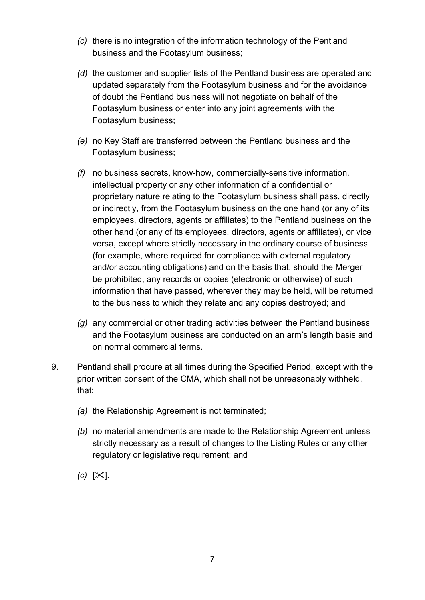- *(c)* there is no integration of the information technology of the Pentland business and the Footasylum business;
- *(d)* the customer and supplier lists of the Pentland business are operated and updated separately from the Footasylum business and for the avoidance of doubt the Pentland business will not negotiate on behalf of the Footasylum business or enter into any joint agreements with the Footasylum business;
- *(e)* no Key Staff are transferred between the Pentland business and the Footasylum business;
- *(f)* no business secrets, know-how, commercially-sensitive information, intellectual property or any other information of a confidential or proprietary nature relating to the Footasylum business shall pass, directly or indirectly, from the Footasylum business on the one hand (or any of its employees, directors, agents or affiliates) to the Pentland business on the other hand (or any of its employees, directors, agents or affiliates), or vice versa, except where strictly necessary in the ordinary course of business (for example, where required for compliance with external regulatory and/or accounting obligations) and on the basis that, should the Merger be prohibited, any records or copies (electronic or otherwise) of such information that have passed, wherever they may be held, will be returned to the business to which they relate and any copies destroyed; and
- *(g)* any commercial or other trading activities between the Pentland business and the Footasylum business are conducted on an arm's length basis and on normal commercial terms.
- 9. Pentland shall procure at all times during the Specified Period, except with the prior written consent of the CMA, which shall not be unreasonably withheld, that:
	- *(a)* the Relationship Agreement is not terminated;
	- *(b)* no material amendments are made to the Relationship Agreement unless strictly necessary as a result of changes to the Listing Rules or any other regulatory or legislative requirement; and
	- *(c)*  $[\times]$ .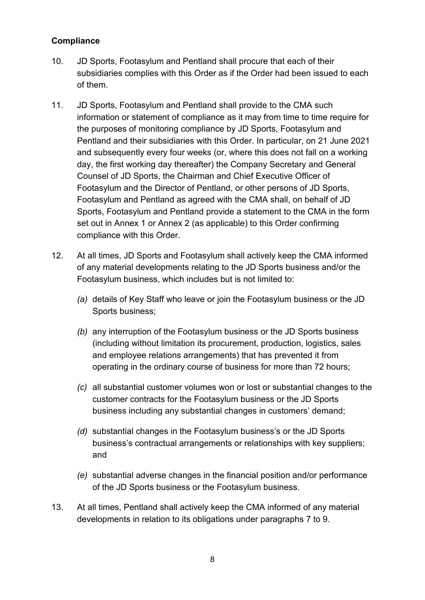### **Compliance**

- 10. JD Sports, Footasylum and Pentland shall procure that each of their subsidiaries complies with this Order as if the Order had been issued to each of them.
- 11. JD Sports, Footasylum and Pentland shall provide to the CMA such information or statement of compliance as it may from time to time require for the purposes of monitoring compliance by JD Sports, Footasylum and Pentland and their subsidiaries with this Order. In particular, on 21 June 2021 and subsequently every four weeks (or, where this does not fall on a working day, the first working day thereafter) the Company Secretary and General Counsel of JD Sports, the Chairman and Chief Executive Officer of Footasylum and the Director of Pentland, or other persons of JD Sports, Footasylum and Pentland as agreed with the CMA shall, on behalf of JD Sports, Footasylum and Pentland provide a statement to the CMA in the form set out in Annex 1 or Annex 2 (as applicable) to this Order confirming compliance with this Order.
- 12. At all times, JD Sports and Footasylum shall actively keep the CMA informed of any material developments relating to the JD Sports business and/or the Footasylum business, which includes but is not limited to:
	- *(a)* details of Key Staff who leave or join the Footasylum business or the JD Sports business;
	- *(b)* any interruption of the Footasylum business or the JD Sports business (including without limitation its procurement, production, logistics, sales and employee relations arrangements) that has prevented it from operating in the ordinary course of business for more than 72 hours;
	- *(c)* all substantial customer volumes won or lost or substantial changes to the customer contracts for the Footasylum business or the JD Sports business including any substantial changes in customers' demand;
	- *(d)* substantial changes in the Footasylum business's or the JD Sports business's contractual arrangements or relationships with key suppliers; and
	- *(e)* substantial adverse changes in the financial position and/or performance of the JD Sports business or the Footasylum business.
- 13. At all times, Pentland shall actively keep the CMA informed of any material developments in relation to its obligations under paragraphs 7 to 9.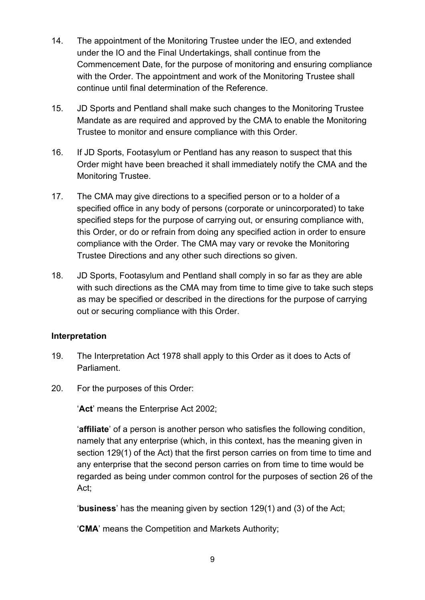- 14. The appointment of the Monitoring Trustee under the IEO, and extended under the IO and the Final Undertakings, shall continue from the Commencement Date, for the purpose of monitoring and ensuring compliance with the Order. The appointment and work of the Monitoring Trustee shall continue until final determination of the Reference.
- 15. JD Sports and Pentland shall make such changes to the Monitoring Trustee Mandate as are required and approved by the CMA to enable the Monitoring Trustee to monitor and ensure compliance with this Order.
- 16. If JD Sports, Footasylum or Pentland has any reason to suspect that this Order might have been breached it shall immediately notify the CMA and the Monitoring Trustee.
- 17. The CMA may give directions to a specified person or to a holder of a specified office in any body of persons (corporate or unincorporated) to take specified steps for the purpose of carrying out, or ensuring compliance with, this Order, or do or refrain from doing any specified action in order to ensure compliance with the Order. The CMA may vary or revoke the Monitoring Trustee Directions and any other such directions so given.
- 18. JD Sports, Footasylum and Pentland shall comply in so far as they are able with such directions as the CMA may from time to time give to take such steps as may be specified or described in the directions for the purpose of carrying out or securing compliance with this Order.

### **Interpretation**

- 19. The Interpretation Act 1978 shall apply to this Order as it does to Acts of Parliament.
- 20. For the purposes of this Order:

'**Act**' means the Enterprise Act 2002;

'**affiliate**' of a person is another person who satisfies the following condition, namely that any enterprise (which, in this context, has the meaning given in section 129(1) of the Act) that the first person carries on from time to time and any enterprise that the second person carries on from time to time would be regarded as being under common control for the purposes of section 26 of the Act;

'**business**' has the meaning given by section 129(1) and (3) of the Act;

'**CMA**' means the Competition and Markets Authority;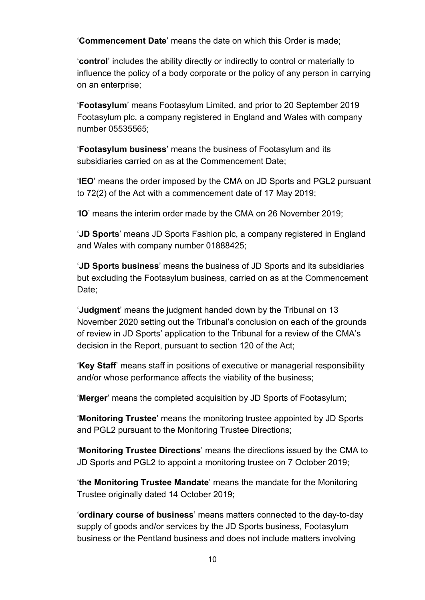'**Commencement Date**' means the date on which this Order is made;

'**control**' includes the ability directly or indirectly to control or materially to influence the policy of a body corporate or the policy of any person in carrying on an enterprise;

'**Footasylum**' means Footasylum Limited, and prior to 20 September 2019 Footasylum plc, a company registered in England and Wales with company number 05535565;

'**Footasylum business**' means the business of Footasylum and its subsidiaries carried on as at the Commencement Date;

'**IEO**' means the order imposed by the CMA on JD Sports and PGL2 pursuant to 72(2) of the Act with a commencement date of 17 May 2019;

'**IO**' means the interim order made by the CMA on 26 November 2019;

'**JD Sports**' means JD Sports Fashion plc, a company registered in England and Wales with company number 01888425;

'**JD Sports business**' means the business of JD Sports and its subsidiaries but excluding the Footasylum business, carried on as at the Commencement Date;

'**Judgment**' means the judgment handed down by the Tribunal on 13 November 2020 setting out the Tribunal's conclusion on each of the grounds of review in JD Sports' application to the Tribunal for a review of the CMA's decision in the Report, pursuant to section 120 of the Act;

'**Key Staff**' means staff in positions of executive or managerial responsibility and/or whose performance affects the viability of the business;

'**Merger**' means the completed acquisition by JD Sports of Footasylum;

'**Monitoring Trustee**' means the monitoring trustee appointed by JD Sports and PGL2 pursuant to the Monitoring Trustee Directions;

'**Monitoring Trustee Directions**' means the directions issued by the CMA to JD Sports and PGL2 to appoint a monitoring trustee on 7 October 2019;

'**the Monitoring Trustee Mandate**' means the mandate for the Monitoring Trustee originally dated 14 October 2019;

'**ordinary course of business**' means matters connected to the day-to-day supply of goods and/or services by the JD Sports business, Footasylum business or the Pentland business and does not include matters involving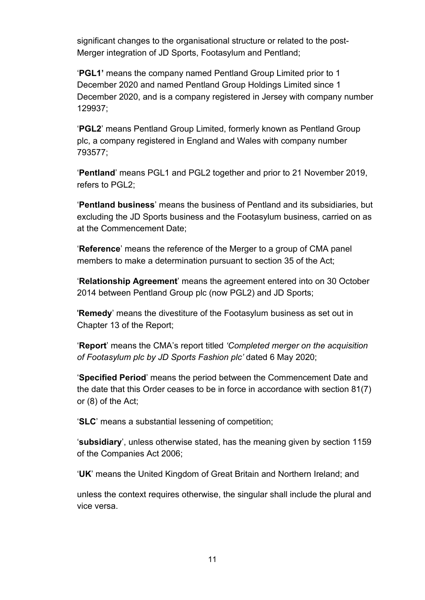significant changes to the organisational structure or related to the post-Merger integration of JD Sports, Footasylum and Pentland;

'**PGL1'** means the company named Pentland Group Limited prior to 1 December 2020 and named Pentland Group Holdings Limited since 1 December 2020, and is a company registered in Jersey with company number 129937;

'**PGL2**' means Pentland Group Limited, formerly known as Pentland Group plc, a company registered in England and Wales with company number 793577;

'**Pentland**' means PGL1 and PGL2 together and prior to 21 November 2019, refers to PGL2;

'**Pentland business**' means the business of Pentland and its subsidiaries, but excluding the JD Sports business and the Footasylum business, carried on as at the Commencement Date;

'**Reference**' means the reference of the Merger to a group of CMA panel members to make a determination pursuant to section 35 of the Act;

'**Relationship Agreement**' means the agreement entered into on 30 October 2014 between Pentland Group plc (now PGL2) and JD Sports;

'**Remedy**' means the divestiture of the Footasylum business as set out in Chapter 13 of the Report;

'**Report**' means the CMA's report titled *'Completed merger on the acquisition of Footasylum plc by JD Sports Fashion plc'* dated 6 May 2020;

'**Specified Period**' means the period between the Commencement Date and the date that this Order ceases to be in force in accordance with section 81(7) or (8) of the Act;

'**SLC**' means a substantial lessening of competition;

'**subsidiary**', unless otherwise stated, has the meaning given by section 1159 of the Companies Act 2006;

'**UK**' means the United Kingdom of Great Britain and Northern Ireland; and

unless the context requires otherwise, the singular shall include the plural and vice versa.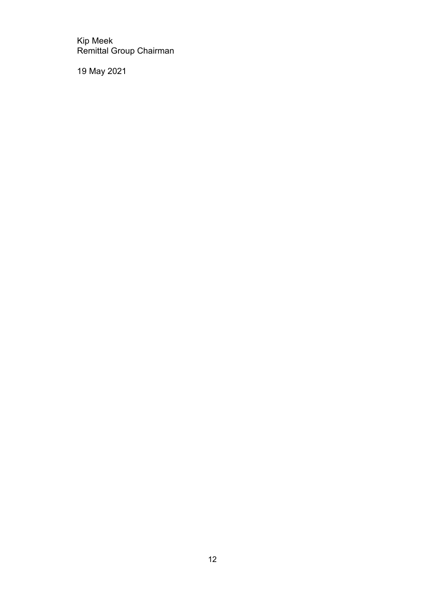Kip Meek Remittal Group Chairman

19 May 2021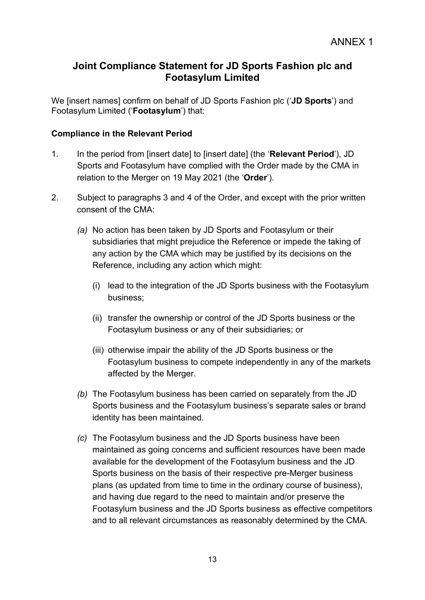# **Joint Compliance Statement for JD Sports Fashion plc and Footasylum Limited**

We [insert names] confirm on behalf of JD Sports Fashion plc ('**JD Sports**') and Footasylum Limited ('**Footasylum**') that:

### **Compliance in the Relevant Period**

- 1. In the period from [insert date] to [insert date] (the '**Relevant Period**'), JD Sports and Footasylum have complied with the Order made by the CMA in relation to the Merger on 19 May 2021 (the '**Order**').
- 2. Subject to paragraphs 3 and 4 of the Order, and except with the prior written consent of the CMA:
	- *(a)* No action has been taken by JD Sports and Footasylum or their subsidiaries that might prejudice the Reference or impede the taking of any action by the CMA which may be justified by its decisions on the Reference, including any action which might:
		- (i) lead to the integration of the JD Sports business with the Footasylum business;
		- (ii) transfer the ownership or control of the JD Sports business or the Footasylum business or any of their subsidiaries; or
		- (iii) otherwise impair the ability of the JD Sports business or the Footasylum business to compete independently in any of the markets affected by the Merger.
	- *(b)* The Footasylum business has been carried on separately from the JD Sports business and the Footasylum business's separate sales or brand identity has been maintained.
	- *(c)* The Footasylum business and the JD Sports business have been maintained as going concerns and sufficient resources have been made available for the development of the Footasylum business and the JD Sports business on the basis of their respective pre-Merger business plans (as updated from time to time in the ordinary course of business), and having due regard to the need to maintain and/or preserve the Footasylum business and the JD Sports business as effective competitors and to all relevant circumstances as reasonably determined by the CMA.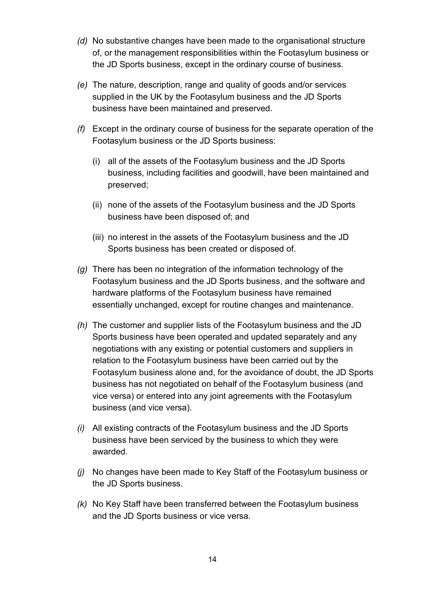- *(d)* No substantive changes have been made to the organisational structure of, or the management responsibilities within the Footasylum business or the JD Sports business, except in the ordinary course of business.
- *(e)* The nature, description, range and quality of goods and/or services supplied in the UK by the Footasylum business and the JD Sports business have been maintained and preserved.
- *(f)* Except in the ordinary course of business for the separate operation of the Footasylum business or the JD Sports business:
	- (i) all of the assets of the Footasylum business and the JD Sports business, including facilities and goodwill, have been maintained and preserved;
	- (ii) none of the assets of the Footasylum business and the JD Sports business have been disposed of; and
	- (iii) no interest in the assets of the Footasylum business and the JD Sports business has been created or disposed of.
- *(g)* There has been no integration of the information technology of the Footasylum business and the JD Sports business, and the software and hardware platforms of the Footasylum business have remained essentially unchanged, except for routine changes and maintenance.
- *(h)* The customer and supplier lists of the Footasylum business and the JD Sports business have been operated and updated separately and any negotiations with any existing or potential customers and suppliers in relation to the Footasylum business have been carried out by the Footasylum business alone and, for the avoidance of doubt, the JD Sports business has not negotiated on behalf of the Footasylum business (and vice versa) or entered into any joint agreements with the Footasylum business (and vice versa).
- *(i)* All existing contracts of the Footasylum business and the JD Sports business have been serviced by the business to which they were awarded.
- *(j)* No changes have been made to Key Staff of the Footasylum business or the JD Sports business.
- *(k)* No Key Staff have been transferred between the Footasylum business and the JD Sports business or vice versa.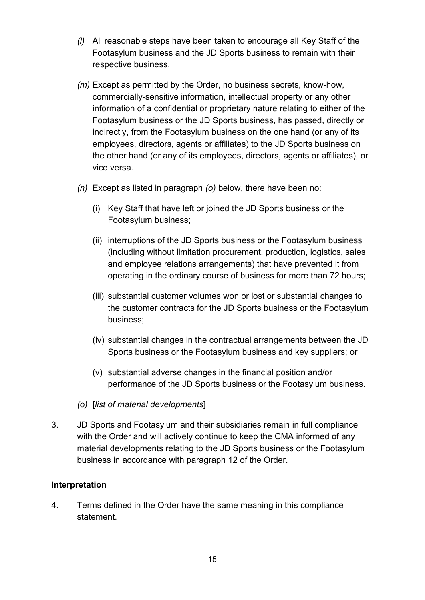- *(l)* All reasonable steps have been taken to encourage all Key Staff of the Footasylum business and the JD Sports business to remain with their respective business.
- *(m)* Except as permitted by the Order, no business secrets, know-how, commercially-sensitive information, intellectual property or any other information of a confidential or proprietary nature relating to either of the Footasylum business or the JD Sports business, has passed, directly or indirectly, from the Footasylum business on the one hand (or any of its employees, directors, agents or affiliates) to the JD Sports business on the other hand (or any of its employees, directors, agents or affiliates), or vice versa.
- *(n)* Except as listed in paragraph *(o)* below, there have been no:
	- (i) Key Staff that have left or joined the JD Sports business or the Footasylum business;
	- (ii) interruptions of the JD Sports business or the Footasylum business (including without limitation procurement, production, logistics, sales and employee relations arrangements) that have prevented it from operating in the ordinary course of business for more than 72 hours;
	- (iii) substantial customer volumes won or lost or substantial changes to the customer contracts for the JD Sports business or the Footasylum business;
	- (iv) substantial changes in the contractual arrangements between the JD Sports business or the Footasylum business and key suppliers; or
	- (v) substantial adverse changes in the financial position and/or performance of the JD Sports business or the Footasylum business.
- *(o)* [*list of material developments*]
- 3. JD Sports and Footasylum and their subsidiaries remain in full compliance with the Order and will actively continue to keep the CMA informed of any material developments relating to the JD Sports business or the Footasylum business in accordance with paragraph 12 of the Order.

#### **Interpretation**

4. Terms defined in the Order have the same meaning in this compliance statement.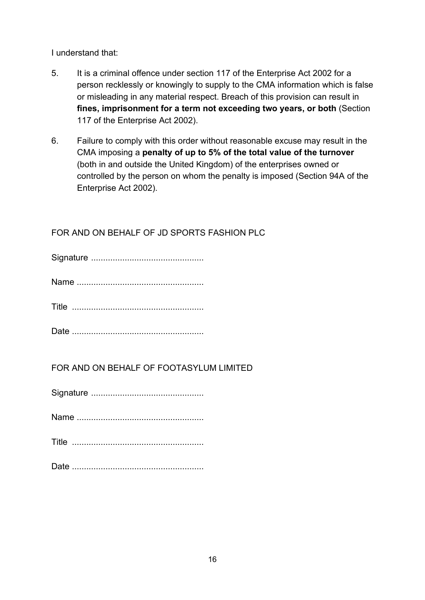I understand that:

- 5. It is a criminal offence under section 117 of the Enterprise Act 2002 for a person recklessly or knowingly to supply to the CMA information which is false or misleading in any material respect. Breach of this provision can result in **fines, imprisonment for a term not exceeding two years, or both** (Section 117 of the Enterprise Act 2002).
- 6. Failure to comply with this order without reasonable excuse may result in the CMA imposing a **penalty of up to 5% of the total value of the turnover** (both in and outside the United Kingdom) of the enterprises owned or controlled by the person on whom the penalty is imposed (Section 94A of the Enterprise Act 2002).

# FOR AND ON BEHALF OF JD SPORTS FASHION PLC

# FOR AND ON BEHALF OF FOOTASYLUM LIMITED

Signature ...............................................

Name .....................................................

Date .......................................................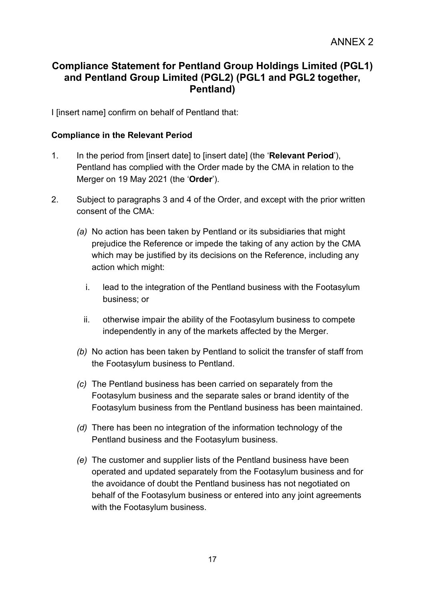# **Compliance Statement for Pentland Group Holdings Limited (PGL1) and Pentland Group Limited (PGL2) (PGL1 and PGL2 together, Pentland)**

I [insert name] confirm on behalf of Pentland that:

#### **Compliance in the Relevant Period**

- 1. In the period from [insert date] to [insert date] (the '**Relevant Period**'), Pentland has complied with the Order made by the CMA in relation to the Merger on 19 May 2021 (the '**Order**').
- 2. Subject to paragraphs 3 and 4 of the Order, and except with the prior written consent of the CMA:
	- *(a)* No action has been taken by Pentland or its subsidiaries that might prejudice the Reference or impede the taking of any action by the CMA which may be justified by its decisions on the Reference, including any action which might:
		- i. lead to the integration of the Pentland business with the Footasylum business; or
		- ii. otherwise impair the ability of the Footasylum business to compete independently in any of the markets affected by the Merger.
	- *(b)* No action has been taken by Pentland to solicit the transfer of staff from the Footasylum business to Pentland.
	- *(c)* The Pentland business has been carried on separately from the Footasylum business and the separate sales or brand identity of the Footasylum business from the Pentland business has been maintained.
	- *(d)* There has been no integration of the information technology of the Pentland business and the Footasylum business.
	- *(e)* The customer and supplier lists of the Pentland business have been operated and updated separately from the Footasylum business and for the avoidance of doubt the Pentland business has not negotiated on behalf of the Footasylum business or entered into any joint agreements with the Footasylum business.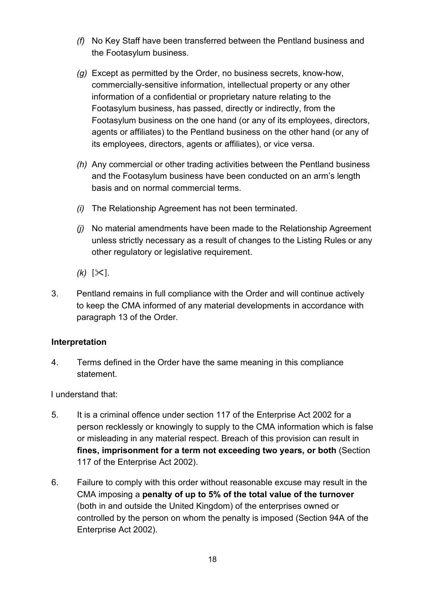- *(f)* No Key Staff have been transferred between the Pentland business and the Footasylum business.
- *(g)* Except as permitted by the Order, no business secrets, know-how, commercially-sensitive information, intellectual property or any other information of a confidential or proprietary nature relating to the Footasylum business, has passed, directly or indirectly, from the Footasylum business on the one hand (or any of its employees, directors, agents or affiliates) to the Pentland business on the other hand (or any of its employees, directors, agents or affiliates), or vice versa.
- *(h)* Any commercial or other trading activities between the Pentland business and the Footasylum business have been conducted on an arm's length basis and on normal commercial terms.
- *(i)* The Relationship Agreement has not been terminated.
- *(j)* No material amendments have been made to the Relationship Agreement unless strictly necessary as a result of changes to the Listing Rules or any other regulatory or legislative requirement.
- $(k)$  [ $\ll$ ].
- 3. Pentland remains in full compliance with the Order and will continue actively to keep the CMA informed of any material developments in accordance with paragraph 13 of the Order.

### **Interpretation**

4. Terms defined in the Order have the same meaning in this compliance statement.

I understand that:

- 5. It is a criminal offence under section 117 of the Enterprise Act 2002 for a person recklessly or knowingly to supply to the CMA information which is false or misleading in any material respect. Breach of this provision can result in **fines, imprisonment for a term not exceeding two years, or both** (Section 117 of the Enterprise Act 2002).
- 6. Failure to comply with this order without reasonable excuse may result in the CMA imposing a **penalty of up to 5% of the total value of the turnover** (both in and outside the United Kingdom) of the enterprises owned or controlled by the person on whom the penalty is imposed (Section 94A of the Enterprise Act 2002).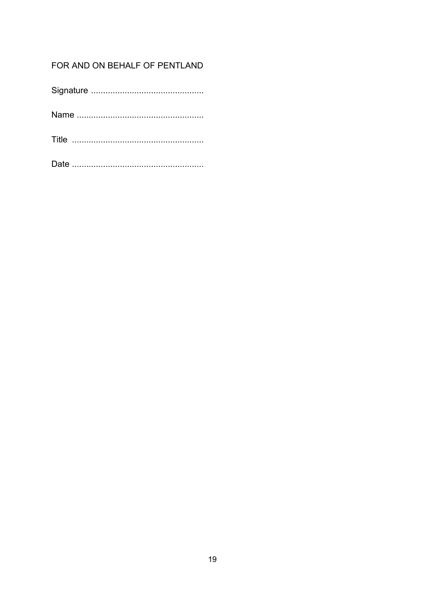# FOR AND ON BEHALF OF PENTLAND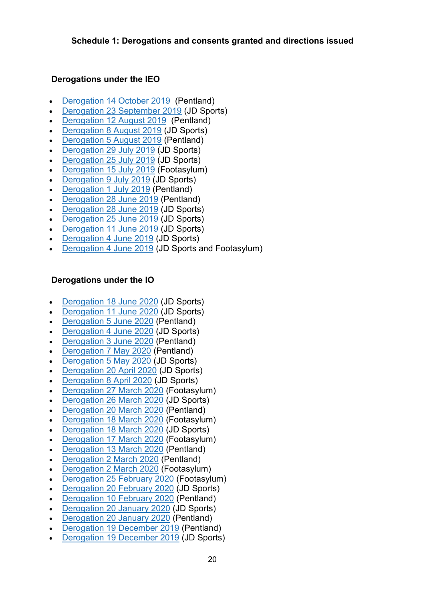### **Derogations under the IEO**

- [Derogation](https://assets.publishing.service.gov.uk/media/5db16cb9e5274a09258aef3a/Derogation_8_October_2019_CMA_14.10.19_pdf_a.pdf) 14 October 2019 (Pentland)
- [Derogation](https://assets.publishing.service.gov.uk/media/5d91c2e6ed915d55622d236e/JD_derogation_23_September_2019.pdf) 23 September 2019 (JD Sports)
- [Derogation](https://assets.publishing.service.gov.uk/media/5d5528c640f0b670697cd248/Pentland_-_Endura_Finance_Director_-_12_August_2019_-.pdf) 12 August 2019 (Pentland)
- [Derogation 8 August](https://assets.publishing.service.gov.uk/media/5d4d26d4e5274a5406e24c04/Sixth_IEO_derogation_JD_Designated_Clean_Team.pdf) 2019 (JD Sports)
- [Derogation 5 August](https://assets.publishing.service.gov.uk/media/5d4be390ed915d7194788b7c/Pentland_general_derogation_request.pdf) 2019 (Pentland)
- [Derogation](https://assets.publishing.service.gov.uk/media/5d42c38fed915d09e36362c2/Publication_-_IEO_derogation_JD_delegated_authority_statement.pdf) 29 July 2019 (JD Sports)
- [Derogation](https://assets.publishing.service.gov.uk/media/5d42b197ed915d09e36362b9/Publication_-_Fifth_IEO_derogation.pdf) 25 July 2019 (JD Sports)
- [Derogation](https://assets.publishing.service.gov.uk/media/5d30465340f0b64a790de95d/IEO_derogation_FA_change_of_CEO.pdf) 15 July 2019 (Footasylum)
- [Derogation 9 July](https://assets.publishing.service.gov.uk/media/5d284645ed915d699a89a287/Fourth_IEO_derogation_JD_-.pdf) 2019 (JD Sports)
- [Derogation 1 July](https://assets.publishing.service.gov.uk/media/5d1c74a0ed915d0bb45ad74c/IEO_derogation_Pentland_1_July_2019.pdf) 2019 (Pentland)
- [Derogation](https://assets.publishing.service.gov.uk/media/5d1c74e2e5274a08dd57c399/IEO_derogation_Pentland.pdf) 28 June 2019 (Pentland)
- [Derogation](https://assets.publishing.service.gov.uk/media/5d1c74fe40f0b609cfd9749d/IEO_derogation_JD_Board_28_June_2019.pdf) 28 June 2019 (JD Sports)
- [Derogation](https://assets.publishing.service.gov.uk/media/5d15cc7de5274a0697823eda/Fourth_IEO_derogation_JD.pdf) 25 June 2019 (JD Sports)
- **[Derogation](https://assets.publishing.service.gov.uk/media/5d0255f540f0b609c6114b8a/Third_IEO_Derogation_Gyms_11.06.19_-_publication_version.pdf) 11 June 2019 (JD Sports)**
- [Derogation 4 June](https://assets.publishing.service.gov.uk/media/5d0255a9ed915d0a7c17e16b/Second_IEO_Derogation_04.06.2019_-_publication_version.pdf) 2019 (JD Sports)
- [Derogation 4 June](https://assets.publishing.service.gov.uk/media/5d02559240f0b609c8d139ba/First_IEO_Derogation_04.06.19_-_publication_version.pdf) 2019 (JD Sports and Footasylum)

## **Derogations under the IO**

- [Derogation](https://assets.publishing.service.gov.uk/media/5efda787e90e075c5582f598/200618_-_JD_Derogation.pdf) 18 June 2020 (JD Sports)
- [Derogation](https://assets.publishing.service.gov.uk/media/5efda76ae90e075c5128f2db/200611_-_Derogation_-_JD.pdf) 11 June 2020 (JD Sports)
- [Derogation 5 June](https://assets.publishing.service.gov.uk/media/5efda54ee90e075c4fa0ac36/200605_-_Pentland_Derogation.pdf) 2020 (Pentland)
- [Derogation 4 June](https://assets.publishing.service.gov.uk/media/5efda4a6d3bf7f769392427b/200604_-_Derogations_-_JD.pdf) 2020 (JD Sports)
- [Derogation 3 June](https://assets.publishing.service.gov.uk/media/5efda170e90e075c5128f2d8/200603_-_Pentland_derogation.pdf) 2020 (Pentland)
- [Derogation 7 May](https://assets.publishing.service.gov.uk/media/5efda136d3bf7f7691f44bfe/200507_-_Derogation_-_Pentland.pdf) 2020 (Pentland)
- [Derogation 5 May](https://assets.publishing.service.gov.uk/media/5efd9b3bd3bf7f76945f0be6/200505_-_Derogation-_JD_Sports.pdf) 2020 (JD Sports)
- [Derogation](https://assets.publishing.service.gov.uk/media/5eb3d1efe90e070833a5165a/Derogation-_FA_Financial_Position_-_20_April_2020-_excised__1_.pdf) 20 April 2020 (JD Sports)
- [Derogation 8 April](https://assets.publishing.service.gov.uk/media/5eb3d18786650c278d4496b9/Derogation-_JD_-_8_April_2020.pdf) 2020 (JD Sports)
- Derogation 27 March 2020 [\(Footasylum\)](https://assets.publishing.service.gov.uk/media/5eb3d291e90e07082e5192ff/Derogation_-_FA_-_27_March_2020.pdf)
- [Derogation](https://assets.publishing.service.gov.uk/media/5eb3d2b686650c27971c1534/Derogation_-_JD_-26_March_2020.pdf) 26 March 2020 (JD Sports)
- [Derogation](https://assets.publishing.service.gov.uk/media/5eb3d31a86650c278a0d1743/Derogation_-_Pentland_COVID_response_-_20_March_2020_-_excised.pdf) 20 March 2020 (Pentland)
- [Derogation](https://assets.publishing.service.gov.uk/media/5eb3d27286650c278a0d1742/Derogation_-_FA_-_18_March_2020_-_COVID_-_excised.pdf) 18 March 2020 (Footasylum)
- [Derogation](https://assets.publishing.service.gov.uk/media/5eb3d365e90e07083234651c/Derogation_-_JD_-_18_March_2020-COVID-Excised.pdf) 18 March 2020 (JD Sports)
- [Derogation](https://assets.publishing.service.gov.uk/media/5eb3d21bd3bf7f5d411ad9cd/Derogation_-_FA_-_17_March_2020_-_key_staff_-_excised.pdf) 17 March 2020 (Footasylum)
- [Derogation](https://assets.publishing.service.gov.uk/media/5eb3d2e2d3bf7f5d3defff02/Derogation_-_Pentland_-_13_March_2020.pdf) 13 March 2020 (Pentland)
- [Derogation 2 March](https://assets.publishing.service.gov.uk/media/5e7098f6e90e070ac30a9553/Derogation-Pentland-request_2_March.pdf) 2020 (Pentland)
- [Derogation 2 March](https://assets.publishing.service.gov.uk/media/5e7098d186650c7272f4c5ee/Derogation_-_FA_-_2_March_2020_-_excised.pdf) 2020 (Footasylum)
- [Derogation](https://assets.publishing.service.gov.uk/media/5e7098acd3bf7f269dbeef3d/Derogation_-_FA_25_Feb_2020_-_excised.pdf) 25 February 2020 (Footasylum)
- [Derogation](https://assets.publishing.service.gov.uk/media/5e70988986650c7278af6864/Derogation-_JD_Sports_20_Feb_2020.pdf) 20 February 2020 (JD Sports)
- [Derogation](https://assets.publishing.service.gov.uk/media/5e4d116d86650c10ef4d3c6d/Pentland_derogation_10_Feb_2020.pdf) 10 February 2020 (Pentland)
- [Derogation](https://assets.publishing.service.gov.uk/media/5e4d1184e90e074dcf842a39/Derogation_-_JD_Sports_-_request_20_Jan_2020.pdf) 20 January 2020 (JD Sports)
- [Derogation](https://assets.publishing.service.gov.uk/media/5e4d11a7e90e074dc4144b76/Derogation-Pentland-20_Jan_2020_for_publication.pdf) 20 January 2020 (Pentland)
- [Derogation](https://assets.publishing.service.gov.uk/media/5e1c3a9840f0b65dc79ee109/Pentland_-_derogation__19_Dec_19__web_version_-.pdf) 19 December 2019 (Pentland)
- [Derogation](https://assets.publishing.service.gov.uk/media/5e0097bee5274a3433fd056d/Derogations-_JD_Sports_-_19_December.pdf) 19 December 2019 (JD Sports)